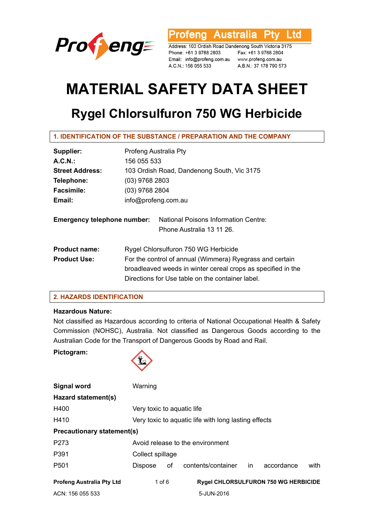

**Profeng Australia Pty** Ltd

Address: 103 Ordish Road Dandenong South Victoria 3175 Phone: +61 3 9768 2803 Fax: +61 3 9768 2804 Email: info@profeng.com.au www.profeng.com.au A.C.N.: 156 055 533

A.B.N.: 37 178 790 573

# **MATERIAL SAFETY DATA SHEET**

# **Rygel Chlorsulfuron 750 WG Herbicide**

# **1. IDENTIFICATION OF THE SUBSTANCE / PREPARATION AND THE COMPANY**

| Supplier:                          | Profeng Australia Pty                                                                                                    |  |  |
|------------------------------------|--------------------------------------------------------------------------------------------------------------------------|--|--|
| A.C.N.                             | 156 055 533                                                                                                              |  |  |
| <b>Street Address:</b>             | 103 Ordish Road, Dandenong South, Vic 3175                                                                               |  |  |
| Telephone:                         | (03) 9768 2803                                                                                                           |  |  |
| <b>Facsimile:</b>                  | (03) 9768 2804                                                                                                           |  |  |
| Email:                             | info@profeng.com.au                                                                                                      |  |  |
| <b>Emergency telephone number:</b> | <b>National Poisons Information Centre:</b><br>Phone Australia 13 11 26.                                                 |  |  |
| <b>Product name:</b>               | Rygel Chlorsulfuron 750 WG Herbicide                                                                                     |  |  |
| <b>Product Use:</b>                | For the control of annual (Wimmera) Ryegrass and certain<br>broadleaved weeds in winter cereal crops as specified in the |  |  |
|                                    |                                                                                                                          |  |  |
|                                    | Directions for Use table on the container label.                                                                         |  |  |

# **2. HAZARDS IDENTIFICATION**

#### **Hazardous Nature:**

Not classified as Hazardous according to criteria of National Occupational Health & Safety Commission (NOHSC), Australia. Not classified as Dangerous Goods according to the Australian Code for the Transport of Dangerous Goods by Road and Rail.

**Pictogram:** 



| Signal word                      | Warning                                              |    |                                             |  |            |      |
|----------------------------------|------------------------------------------------------|----|---------------------------------------------|--|------------|------|
| Hazard statement(s)              |                                                      |    |                                             |  |            |      |
| H400                             | Very toxic to aquatic life                           |    |                                             |  |            |      |
| H410                             | Very toxic to aquatic life with long lasting effects |    |                                             |  |            |      |
| Precautionary statement(s)       |                                                      |    |                                             |  |            |      |
| P <sub>273</sub>                 | Avoid release to the environment                     |    |                                             |  |            |      |
| P391                             | Collect spillage                                     |    |                                             |  |            |      |
| P <sub>501</sub>                 | Dispose                                              | οf | contents/container in                       |  | accordance | with |
| <b>Profeng Australia Pty Ltd</b> | 1 of $6$                                             |    | <b>Rygel CHLORSULFURON 750 WG HERBICIDE</b> |  |            |      |
| ACN: 156 055 533                 |                                                      |    | 5-JUN-2016                                  |  |            |      |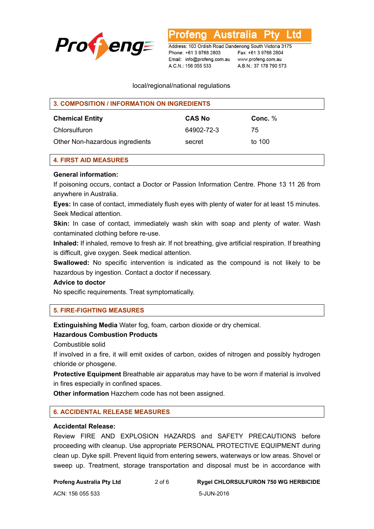

Australia ∟td

Address: 103 Ordish Road Dandenong South Victoria 3175 Phone: +61 3 9768 2803 Email: info@profeng.com.au www.profeng.com.au A.C.N.: 156 055 533

Fax: +61 3 9768 2804 A.B.N.: 37 178 790 573

#### local/regional/national regulations

| <b>3. COMPOSITION / INFORMATION ON INGREDIENTS</b> |               |           |  |
|----------------------------------------------------|---------------|-----------|--|
| <b>Chemical Entity</b>                             | <b>CAS No</b> | Conc. $%$ |  |
| Chlorsulfuron                                      | 64902-72-3    | 75        |  |
| Other Non-hazardous ingredients                    | secret        | to 100    |  |

#### **4. FIRST AID MEASURES**

#### **General information:**

If poisoning occurs, contact a Doctor or Passion Information Centre. Phone 13 11 26 from anywhere in Australia.

**Eyes:** In case of contact, immediately flush eyes with plenty of water for at least 15 minutes. Seek Medical attention.

**Skin:** In case of contact, immediately wash skin with soap and plenty of water. Wash contaminated clothing before re-use.

**Inhaled:** If inhaled, remove to fresh air. If not breathing, give artificial respiration. If breathing is difficult, give oxygen. Seek medical attention.

**Swallowed:** No specific intervention is indicated as the compound is not likely to be hazardous by ingestion. Contact a doctor if necessary.

#### **Advice to doctor**

No specific requirements. Treat symptomatically.

# **5. FIRE-FIGHTING MEASURES**

**Extinguishing Media** Water fog, foam, carbon dioxide or dry chemical.

# **Hazardous Combustion Products**

Combustible solid

If involved in a fire, it will emit oxides of carbon, oxides of nitrogen and possibly hydrogen chloride or phosgene.

**Protective Equipment** Breathable air apparatus may have to be worn if material is involved in fires especially in confined spaces.

**Other information** Hazchem code has not been assigned.

#### **6. ACCIDENTAL RELEASE MEASURES**

#### **Accidental Release:**

Review FIRE AND EXPLOSION HAZARDS and SAFETY PRECAUTIONS before proceeding with cleanup. Use appropriate PERSONAL PROTECTIVE EQUIPMENT during clean up. Dyke spill. Prevent liquid from entering sewers, waterways or low areas. Shovel or sweep up. Treatment, storage transportation and disposal must be in accordance with

**Profeng Australia Pty Ltd** 2 of 6 **Rygel CHLORSULFURON 750 WG HERBICIDE**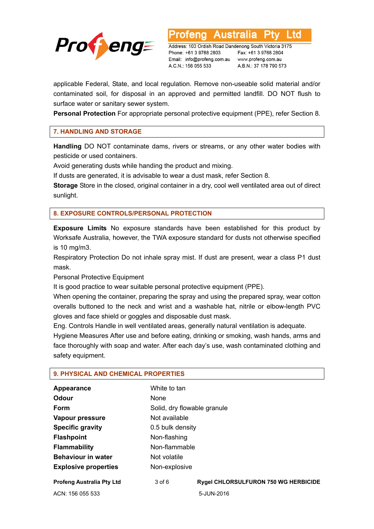

td

Address: 103 Ordish Road Dandenong South Victoria 3175 Phone: +61 3 9768 2803 Email: info@profeng.com.au A.C.N.: 156 055 533

Fax: +61 3 9768 2804 www.profeng.com.au A.B.N.: 37 178 790 573

applicable Federal, State, and local regulation. Remove non-useable solid material and/or contaminated soil, for disposal in an approved and permitted landfill. DO NOT flush to surface water or sanitary sewer system.

**Personal Protection** For appropriate personal protective equipment (PPE), refer Section 8.

# **7. HANDLING AND STORAGE**

**Handling** DO NOT contaminate dams, rivers or streams, or any other water bodies with pesticide or used containers.

Avoid generating dusts while handing the product and mixing.

If dusts are generated, it is advisable to wear a dust mask, refer Section 8.

**Storage** Store in the closed, original container in a dry, cool well ventilated area out of direct sunlight.

#### **8. EXPOSURE CONTROLS/PERSONAL PROTECTION**

**Exposure Limits** No exposure standards have been established for this product by Worksafe Australia, however, the TWA exposure standard for dusts not otherwise specified is 10 mg/m3.

Respiratory Protection Do not inhale spray mist. If dust are present, wear a class P1 dust mask.

Personal Protective Equipment

It is good practice to wear suitable personal protective equipment (PPE).

When opening the container, preparing the spray and using the prepared spray, wear cotton overalls buttoned to the neck and wrist and a washable hat, nitrile or elbow-length PVC gloves and face shield or goggles and disposable dust mask.

Eng. Controls Handle in well ventilated areas, generally natural ventilation is adequate.

Hygiene Measures After use and before eating, drinking or smoking, wash hands, arms and face thoroughly with soap and water. After each day's use, wash contaminated clothing and safety equipment.

| Appearance                       | White to tan                |                                             |  |
|----------------------------------|-----------------------------|---------------------------------------------|--|
| <b>Odour</b>                     | None                        |                                             |  |
| Form                             | Solid, dry flowable granule |                                             |  |
| Vapour pressure                  | Not available               |                                             |  |
| <b>Specific gravity</b>          | 0.5 bulk density            |                                             |  |
| <b>Flashpoint</b>                | Non-flashing                |                                             |  |
| <b>Flammability</b>              | Non-flammable               |                                             |  |
| <b>Behaviour in water</b>        | Not volatile                |                                             |  |
| <b>Explosive properties</b>      | Non-explosive               |                                             |  |
| <b>Profeng Australia Pty Ltd</b> | $3$ of $6$                  | <b>Rygel CHLORSULFURON 750 WG HERBICIDE</b> |  |
| ACN: 156 055 533                 |                             | 5-JUN-2016                                  |  |

#### **9. PHYSICAL AND CHEMICAL PROPERTIES**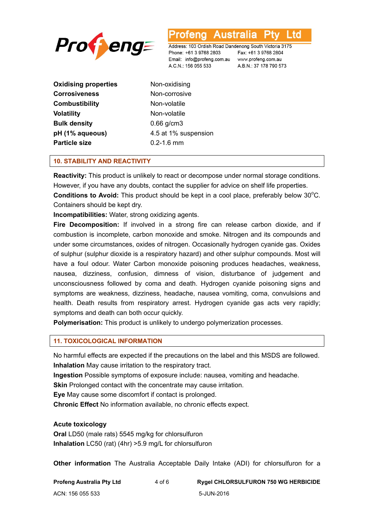

.td

Address: 103 Ordish Road Dandenong South Victoria 3175 Phone: +61 3 9768 2803 Email: info@profeng.com.au www.profeng.com.au A.C.N.: 156 055 533

Fax: +61 3 9768 2804 A.B.N.: 37 178 790 573

**Oxidising properties Non-oxidising Corrosiveness** Non-corrosive **Combustibility** Non-volatile **Volatility Non-volatile Bulk density** 0.66 g/cm3 **Particle size** 0.2-1.6 mm

**pH (1% aqueous)** 4.5 at 1% suspension

#### **10. STABILITY AND REACTIVITY**

**Reactivity:** This product is unlikely to react or decompose under normal storage conditions. However, if you have any doubts, contact the supplier for advice on shelf life properties. Conditions to Avoid: This product should be kept in a cool place, preferably below 30°C. Containers should be kept dry.

**Incompatibilities:** Water, strong oxidizing agents.

**Fire Decomposition:** If involved in a strong fire can release carbon dioxide, and if combustion is incomplete, carbon monoxide and smoke. Nitrogen and its compounds and under some circumstances, oxides of nitrogen. Occasionally hydrogen cyanide gas. Oxides of sulphur (sulphur dioxide is a respiratory hazard) and other sulphur compounds. Most will have a foul odour. Water Carbon monoxide poisoning produces headaches, weakness, nausea, dizziness, confusion, dimness of vision, disturbance of judgement and unconsciousness followed by coma and death. Hydrogen cyanide poisoning signs and symptoms are weakness, dizziness, headache, nausea vomiting, coma, convulsions and health. Death results from respiratory arrest. Hydrogen cyanide gas acts very rapidly; symptoms and death can both occur quickly.

**Polymerisation:** This product is unlikely to undergo polymerization processes.

# **11. TOXICOLOGICAL INFORMATION**

No harmful effects are expected if the precautions on the label and this MSDS are followed. **Inhalation** May cause irritation to the respiratory tract.

**Ingestion** Possible symptoms of exposure include: nausea, vomiting and headache.

**Skin** Prolonged contact with the concentrate may cause irritation.

**Eye** May cause some discomfort if contact is prolonged.

**Chronic Effect** No information available, no chronic effects expect.

#### **Acute toxicology**

**Oral** LD50 (male rats) 5545 mg/kg for chlorsulfuron **Inhalation** LC50 (rat) (4hr) >5.9 mg/L for chlorsulfuron

**Other information** The Australia Acceptable Daily Intake (ADI) for chlorsulfuron for a

| Profeng Australia Pty Ltd | 4 of 6 | <b>Rygel CHLORSULFURON 750 WG HERBICIDE</b> |
|---------------------------|--------|---------------------------------------------|
| ACN: 156 055 533          |        | 5-JUN-2016                                  |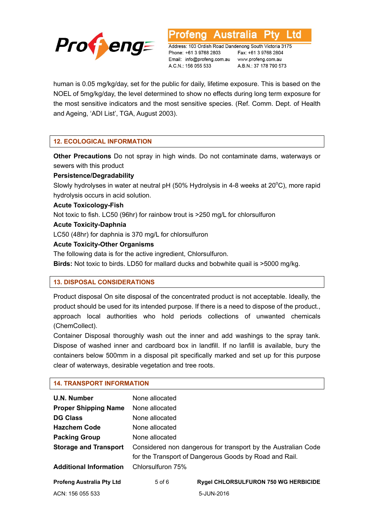

∟td

Address: 103 Ordish Road Dandenong South Victoria 3175 Phone: +61 3 9768 2803 Email: info@profeng.com.au www.profeng.com.au A.C.N.: 156 055 533

Fax: +61 3 9768 2804 A.B.N.: 37 178 790 573

human is 0.05 mg/kg/day, set for the public for daily, lifetime exposure. This is based on the NOEL of 5mg/kg/day, the level determined to show no effects during long term exposure for the most sensitive indicators and the most sensitive species. (Ref. Comm. Dept. of Health and Ageing, 'ADI List', TGA, August 2003).

# **12. ECOLOGICAL INFORMATION**

**Other Precautions** Do not spray in high winds. Do not contaminate dams, waterways or sewers with this product

# **Persistence/Degradability**

Slowly hydrolyses in water at neutral pH (50% Hydrolysis in 4-8 weeks at 20°C), more rapid hydrolysis occurs in acid solution.

#### **Acute Toxicology-Fish**

Not toxic to fish. LC50 (96hr) for rainbow trout is >250 mg/L for chlorsulfuron

#### **Acute Toxicity-Daphnia**

LC50 (48hr) for daphnia is 370 mg/L for chlorsulfuron

#### **Acute Toxicity-Other Organisms**

The following data is for the active ingredient, Chlorsulfuron.

**Birds:** Not toxic to birds. LD50 for mallard ducks and bobwhite quail is >5000 mg/kg.

# **13. DISPOSAL CONSIDERATIONS**

Product disposal On site disposal of the concentrated product is not acceptable. Ideally, the product should be used for its intended purpose. If there is a need to dispose of the product., approach local authorities who hold periods collections of unwanted chemicals (ChemCollect).

Container Disposal thoroughly wash out the inner and add washings to the spray tank. Dispose of washed inner and cardboard box in landfill. If no lanfill is available, bury the containers below 500mm in a disposal pit specifically marked and set up for this purpose clear of waterways, desirable vegetation and tree roots.

#### **14. TRANSPORT INFORMATION**

| U.N. Number                      | None allocated                                                |                                                        |  |
|----------------------------------|---------------------------------------------------------------|--------------------------------------------------------|--|
| <b>Proper Shipping Name</b>      | None allocated                                                |                                                        |  |
| <b>DG Class</b>                  | None allocated                                                |                                                        |  |
| <b>Hazchem Code</b>              | None allocated                                                |                                                        |  |
| <b>Packing Group</b>             | None allocated                                                |                                                        |  |
| <b>Storage and Transport</b>     | Considered non dangerous for transport by the Australian Code |                                                        |  |
|                                  |                                                               | for the Transport of Dangerous Goods by Road and Rail. |  |
| <b>Additional Information</b>    | Chlorsulfuron 75%                                             |                                                        |  |
| <b>Profeng Australia Pty Ltd</b> | $5$ of $6$                                                    | Rygel CHLORSULFURON 750 WG HERBICIDE                   |  |
| ACN: 156 055 533                 |                                                               | 5-JUN-2016                                             |  |